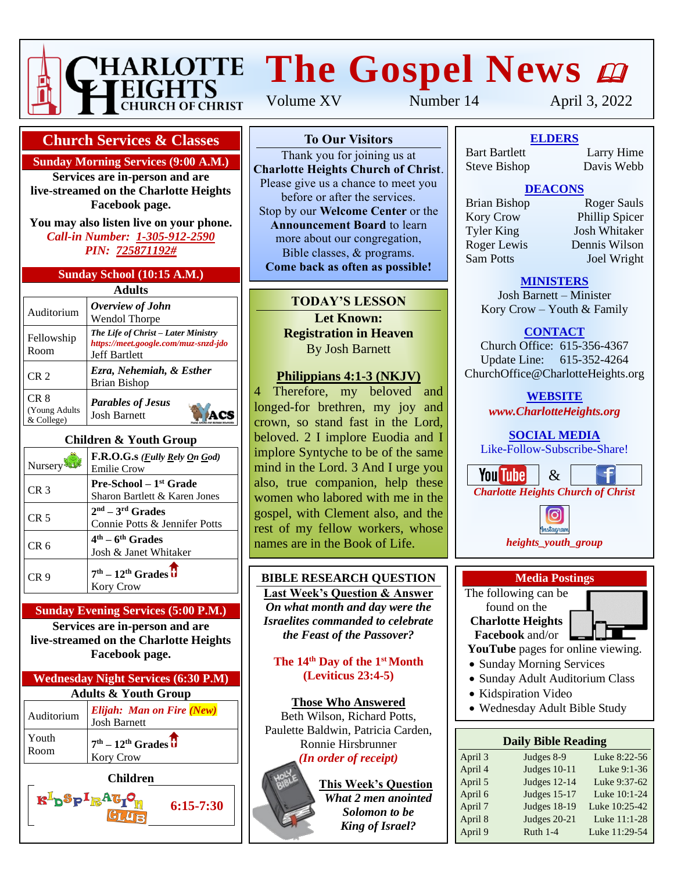

# **HARLOTTE The Gospel News @**

#### **Church Services & Classes**

**Sunday Morning Services (9:00 A.M.)**

**Services are in-person and are live-streamed on the Charlotte Heights Facebook page.**

**You may also listen live on your phone.** *Call-in Number: 1-305-912-2590 PIN: 725871192#*

#### **Sunday School (10:15 A.M.)**

| Adults                               |                                                                                                     |  |  |  |
|--------------------------------------|-----------------------------------------------------------------------------------------------------|--|--|--|
| Auditorium                           | Overview of John<br>Wendol Thorpe                                                                   |  |  |  |
| Fellowship<br>Room                   | The Life of Christ - Later Ministry<br>https://meet.google.com/muz-snzd-jdo<br><b>Jeff Bartlett</b> |  |  |  |
| CR <sub>2</sub>                      | Ezra, Nehemiah, & Esther<br>Brian Bishop                                                            |  |  |  |
| CR 8<br>(Young Adults)<br>& College) | <b>Parables of Jesus</b><br><b>Josh Barnett</b>                                                     |  |  |  |

#### **Children & Youth Group**

| Nursery         | F.R.O.G.s ( <i>Fully Rely On God</i> )<br><b>Emilie Crow</b>        |
|-----------------|---------------------------------------------------------------------|
| CR <sub>3</sub> | Pre-School - 1 <sup>st</sup> Grade<br>Sharon Bartlett & Karen Jones |
| CR <sub>5</sub> | $2nd - 3rd$ Grades<br>Connie Potts & Jennifer Potts                 |
| CR 6            | $4th - 6th$ Grades<br>Josh & Janet Whitaker                         |
| CR 9            | $7th - 12th$ Grades $\overline{\textbf{U}}$<br><b>Kory Crow</b>     |

#### **Sunday Evening Services (5:00 P.M.)**

**Services are in-person and are live-streamed on the Charlotte Heights Facebook page.**

| <b>Wednesday Night Services (6:30 P.M)</b> |                                                  |  |  |
|--------------------------------------------|--------------------------------------------------|--|--|
| <b>Adults &amp; Youth Group</b>            |                                                  |  |  |
| Auditorium                                 | Elijah: Man on Fire (New)<br><b>Josh Barnett</b> |  |  |
| Youth<br>Room                              | $7th - 12th Grades$<br>Kory Crow                 |  |  |
|                                            | <b>Children</b>                                  |  |  |

Volume XV Number 14 April 3, 2022

#### **To Our Visitors**

Thank you for joining us at **Charlotte Heights Church of Christ**. Please give us a chance to meet you before or after the services. Stop by our **Welcome Center** or the **Announcement Board** to learn more about our congregation, Bible classes, & programs. **Come back as often as possible!**

## **TODAY'S LESSON**

**Let Known: Registration in Heaven** By Josh Barnett

#### **Philippians 4:1-3 (NKJV)**

4 Therefore, my beloved and longed-for brethren, my joy and crown, so stand fast in the Lord, beloved. 2 I implore Euodia and I implore Syntyche to be of the same mind in the Lord. 3 And I urge you also, true companion, help these women who labored with me in the gospel, with Clement also, and the rest of my fellow workers, whose names are in the Book of Life.

## **BIBLE RESEARCH QUESTION**

**Last Week's Question & Answer** *On what month and day were the Israelites commanded to celebrate the Feast of the Passover?*

**The 14th Day of the 1st Month (Leviticus 23:4-5)**

**Those Who Answered** Beth Wilson, Richard Potts, Paulette Baldwin, Patricia Carden, Ronnie Hirsbrunner *(In order of receipt)*

#### **This Week's Question** *What 2 men anointed Solomon to be King of Israel?*

**To Our Visitors ELDERS** Steve Bishop Davis Webb Bart Bartlett

Larry Hime<br>Davis Webb

# **DEACONS**

**Announcement Board Lines**<br>
Tyler King Josh Whitaker more about the congregation of the Roger Lewis Dennis Wilson Bible classes, & programs. Sam Potts Joel Wright **Commentary Comment as a society of the post of the property of the set of the set of the set of the set of the set of the set of the set of the set of the set of the set of the set of the set of the set of the set of the** 

Brian Bishop Roger Sauls Extends by Origin Bishop<br> **Kory Crow** Phillip Spicer

#### **MINISTERS**

Josh Barnett – Minister Kory Crow – Youth & Family

## **CONTACT**

Church Office: 615-356-4367 Update Line: 615-352-4264 ChurchOffice@CharlotteHeights.org

**WEBSITE**

*www.CharlotteHeights.org*

**SOCIAL MEDIA** Like-Follow-Subscribe-Share!

**You Tube**  $\&$ *Charlotte Heights Church of Christ*



#### **Media Postings**

The following can be found on the **Charlotte Heights Facebook** and/or

**YouTube** pages for online viewing.

- Sunday Morning Services
- Sunday Adult Auditorium Class
- Kidspiration Video
- Wednesday Adult Bible Study

## **Daily Bible Reading**

| April 3 | Judges 8-9          | Luke 8:22-56  |
|---------|---------------------|---------------|
| April 4 | <b>Judges 10-11</b> | Luke 9:1-36   |
| April 5 | <b>Judges 12-14</b> | Luke 9:37-62  |
| April 6 | <b>Judges 15-17</b> | Luke 10:1-24  |
| April 7 | <b>Judges 18-19</b> | Luke 10:25-42 |
| April 8 | Judges 20-21        | Luke 11:1-28  |
| April 9 | Ruth $1-4$          | Luke 11:29-54 |
|         |                     |               |



**6:15-7:30**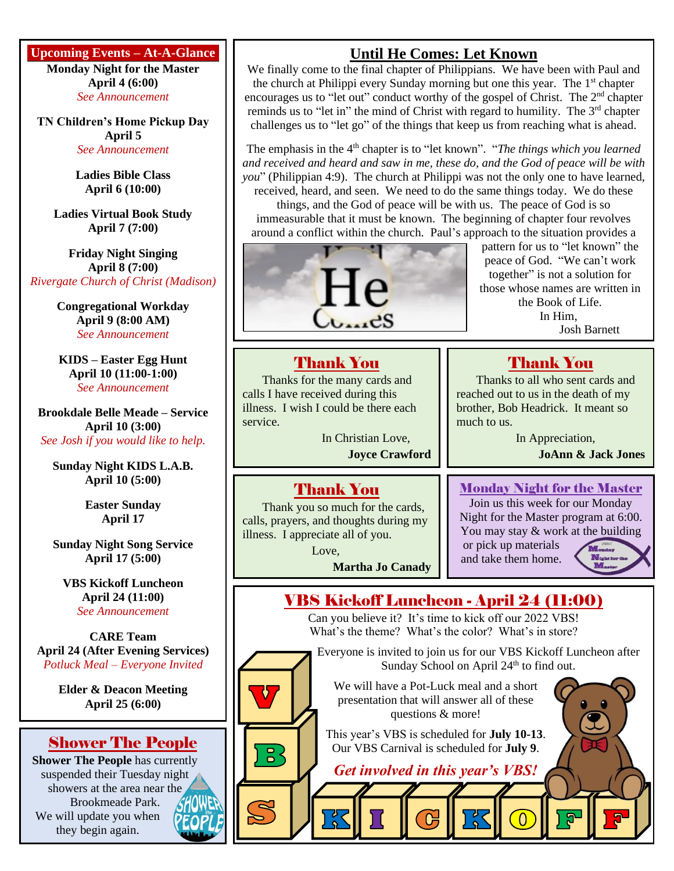**Upcoming Events – At-A-Glance**

**Monday Night for the Master April 4 (6:00)** *See Announcement*

**TN Children's Home Pickup Day April 5** *See Announcement*

> **Ladies Bible Class April 6 (10:00)**

**Ladies Virtual Book Study April 7 (7:00)**

**Friday Night Singing April 8 (7:00)** *Rivergate Church of Christ (Madison)*

> **Congregational Workday April 9 (8:00 AM)** *See Announcement*

**KIDS – Easter Egg Hunt April 10 (11:00-1:00)** *See Announcement*

**Brookdale Belle Meade – Service April 10 (3:00)** *See Josh if you would like to help.*

**Sunday Night KIDS L.A.B. April 10 (5:00)**

> **Easter Sunday April 17**

**Sunday Night Song Service April 17 (5:00)**

**VBS Kickoff Luncheon April 24 (11:00)** *See Announcement*

**CARE Team April 24 (After Evening Services)** *Potluck Meal – Everyone Invited*

> **Elder & Deacon Meeting April 25 (6:00)**

## Shower The People

**Shower The People** has currently suspended their Tuesday night showers at the area near the Brookmeade Park. We will update you when they begin again.

# **Until He Comes: Let Known**

We finally come to the final chapter of Philippians. We have been with Paul and the church at Philippi every Sunday morning but one this year. The 1<sup>st</sup> chapter encourages us to "let out" conduct worthy of the gospel of Christ. The 2<sup>nd</sup> chapter reminds us to "let in" the mind of Christ with regard to humility. The 3<sup>rd</sup> chapter challenges us to "let go" of the things that keep us from reaching what is ahead.

The emphasis in the 4<sup>th</sup> chapter is to "let known". "*The things which you learned and received and heard and saw in me, these do, and the God of peace will be with you*" (Philippian 4:9). The church at Philippi was not the only one to have learned, received, heard, and seen. We need to do the same things today. We do these things, and the God of peace will be with us. The peace of God is so immeasurable that it must be known. The beginning of chapter four revolves around a conflict within the church. Paul's approach to the situation provides a



pattern for us to "let known" the peace of God. "We can't work together" is not a solution for those whose names are written in the Book of Life. In Him, Josh Barnett

## Thank You

Thanks for the many cards and calls I have received during this illness. I wish I could be there each service.

> In Christian Love, **Joyce Crawford**

Thank You

Thank you so much for the cards, calls, prayers, and thoughts during my illness. I appreciate all of you.

Love,

**Martha Jo Canady**

## Thank You Thanks to all who sent cards and

reached out to us in the death of my brother, Bob Headrick. It meant so much to us.

In Appreciation,

**JoAnn & Jack Jones**

## Monday Night for the Master

Join us this week for our Monday Night for the Master program at 6:00. You may stay & work at the building or pick up materials

and take them home.

 $\overline{0}$ 



# VBS Kickoff Luncheon - April 24 (11:00)

Can you believe it? It's time to kick off our 2022 VBS! What's the theme? What's the color? What's in store?

Everyone is invited to join us for our VBS Kickoff Luncheon after Sunday School on April 24<sup>th</sup> to find out.

We will have a Pot-Luck meal and a short presentation that will answer all of these questions & more!

This year's VBS is scheduled for **July 10-13**. Our VBS Carnival is scheduled for **July 9**.

*Get involved in this year's VBS!*



 $\overline{\mathbf{D}}$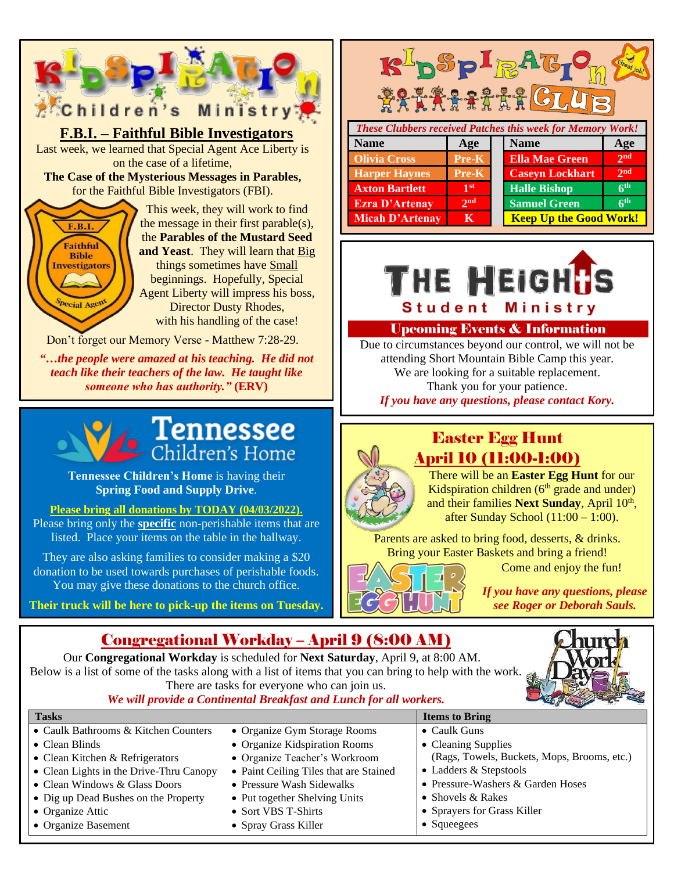



**Tennessee Children's Home** is having their **Spring Food and Supply Drive**.

#### **Please bring all donations by TODAY (04/03/2022).**

Please bring only the **specific** non-perishable items that are listed. Place your items on the table in the hallway.

They are also asking families to consider making a \$20 donation to be used towards purchases of perishable foods. You may give these donations to the church office.

**Their truck will be here to pick-up the items on Tuesday.**

#### **R-DSPIRAG FRAARTER GLUT** *These Clubbers received Patches this week for Memory Work!* **Name Age Age Name Age Olivia Cross Pre-K Ella Mae Green nd Harper Haynes Pre-K Caseyn Lockhart 2 nd st Halle Bishop 6 Axton Bartlett 1 th Ezra D'Artenay** 2<sup>nd</sup> **th Samuel Green**



**Micah D'Artenay KKN Keep Up the Good Work!** 

#### Upcoming Events & Information

Due to circumstances beyond our control, we will not be attending Short Mountain Bible Camp this year. We are looking for a suitable replacement. Thank you for your patience. *If you have any questions, please contact Kory.*

# Easter Egg Hunt April 10 (11:00-1:00)

There will be an **Easter Egg Hunt** for our Kidspiration children  $(6<sup>th</sup>$  grade and under) and their families Next Sunday, April 10<sup>th</sup>, after Sunday School (11:00 – 1:00).

Parents are asked to bring food, desserts, & drinks. Bring your Easter Baskets and bring a friend!

Come and enjoy the fun!

*If you have any questions, please see Roger or Deborah Sauls.*

## Congregational Workday – April 9 (8:00 AM)

Our **Congregational Workday** is scheduled for **Next Saturday**, April 9, at 8:00 AM. Below is a list of some of the tasks along with a list of items that you can bring to help with the work. There are tasks for everyone who can join us.



#### *We will provide a Continental Breakfast and Lunch for all workers.*

| <b>Tasks</b>                            |                                        | <b>Items to Bring</b>                       |
|-----------------------------------------|----------------------------------------|---------------------------------------------|
| • Caulk Bathrooms & Kitchen Counters    | • Organize Gym Storage Rooms           | $\bullet$ Caulk Guns                        |
| $\bullet$ Clean Blinds                  | • Organize Kidspiration Rooms          | • Cleaning Supplies                         |
| • Clean Kitchen & Refrigerators         | • Organize Teacher's Workroom          | (Rags, Towels, Buckets, Mops, Brooms, etc.) |
| • Clean Lights in the Drive-Thru Canopy | • Paint Ceiling Tiles that are Stained | • Ladders & Stepstools                      |
| • Clean Windows & Glass Doors           | • Pressure Wash Sidewalks              | • Pressure-Washers & Garden Hoses           |
| • Dig up Dead Bushes on the Property    | • Put together Shelving Units          | • Shovels $& Rakes$                         |
| • Organize Attic                        | • Sort VBS T-Shirts                    | • Sprayers for Grass Killer                 |
| • Organize Basement                     | • Spray Grass Killer                   | $\bullet$ Squeegees                         |